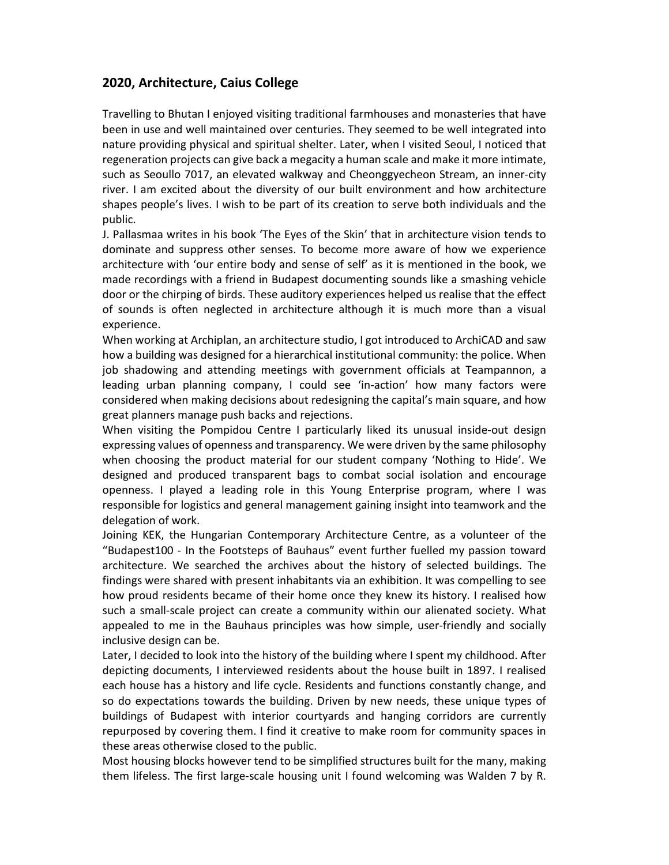## **2020, Architecture, Caius College**

Travelling to Bhutan I enjoyed visiting traditional farmhouses and monasteries that have been in use and well maintained over centuries. They seemed to be well integrated into nature providing physical and spiritual shelter. Later, when I visited Seoul, I noticed that regeneration projects can give back a megacity a human scale and make it more intimate, such as Seoullo 7017, an elevated walkway and Cheonggyecheon Stream, an inner-city river. I am excited about the diversity of our built environment and how architecture shapes people's lives. I wish to be part of its creation to serve both individuals and the public.

J. Pallasmaa writes in his book 'The Eyes of the Skin' that in architecture vision tends to dominate and suppress other senses. To become more aware of how we experience architecture with 'our entire body and sense of self' as it is mentioned in the book, we made recordings with a friend in Budapest documenting sounds like a smashing vehicle door or the chirping of birds. These auditory experiences helped us realise that the effect of sounds is often neglected in architecture although it is much more than a visual experience.

When working at Archiplan, an architecture studio, I got introduced to ArchiCAD and saw how a building was designed for a hierarchical institutional community: the police. When job shadowing and attending meetings with government officials at Teampannon, a leading urban planning company, I could see 'in-action' how many factors were considered when making decisions about redesigning the capital's main square, and how great planners manage push backs and rejections.

When visiting the Pompidou Centre I particularly liked its unusual inside-out design expressing values of openness and transparency. We were driven by the same philosophy when choosing the product material for our student company 'Nothing to Hide'. We designed and produced transparent bags to combat social isolation and encourage openness. I played a leading role in this Young Enterprise program, where I was responsible for logistics and general management gaining insight into teamwork and the delegation of work.

Joining KEK, the Hungarian Contemporary Architecture Centre, as a volunteer of the "Budapest100 - In the Footsteps of Bauhaus" event further fuelled my passion toward architecture. We searched the archives about the history of selected buildings. The findings were shared with present inhabitants via an exhibition. It was compelling to see how proud residents became of their home once they knew its history. I realised how such a small-scale project can create a community within our alienated society. What appealed to me in the Bauhaus principles was how simple, user-friendly and socially inclusive design can be.

Later, I decided to look into the history of the building where I spent my childhood. After depicting documents, I interviewed residents about the house built in 1897. I realised each house has a history and life cycle. Residents and functions constantly change, and so do expectations towards the building. Driven by new needs, these unique types of buildings of Budapest with interior courtyards and hanging corridors are currently repurposed by covering them. I find it creative to make room for community spaces in these areas otherwise closed to the public.

Most housing blocks however tend to be simplified structures built for the many, making them lifeless. The first large-scale housing unit I found welcoming was Walden 7 by R.